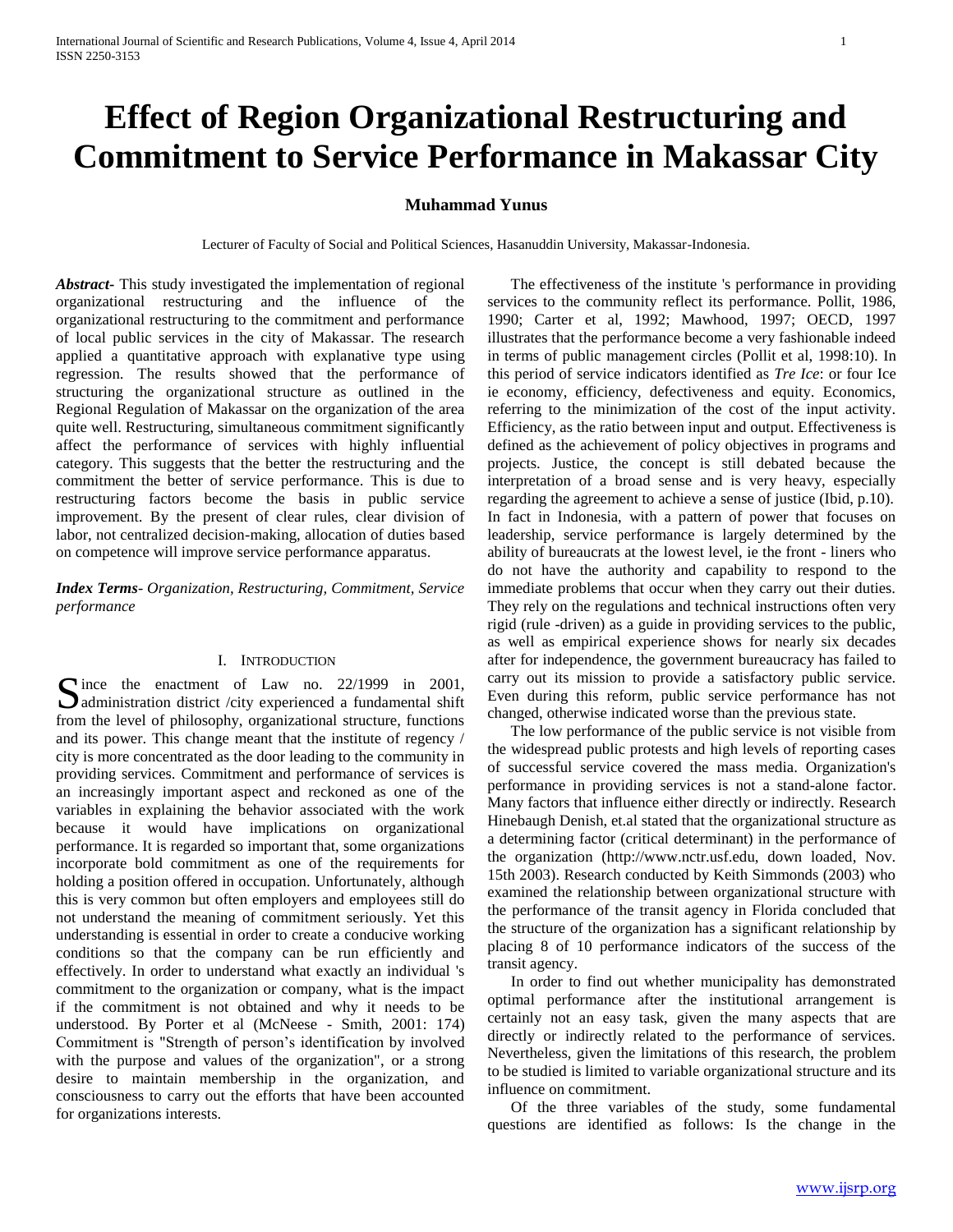# **Effect of Region Organizational Restructuring and Commitment to Service Performance in Makassar City**

# **Muhammad Yunus**

Lecturer of Faculty of Social and Political Sciences, Hasanuddin University, Makassar-Indonesia.

*Abstract***-** This study investigated the implementation of regional organizational restructuring and the influence of the organizational restructuring to the commitment and performance of local public services in the city of Makassar. The research applied a quantitative approach with explanative type using regression. The results showed that the performance of structuring the organizational structure as outlined in the Regional Regulation of Makassar on the organization of the area quite well. Restructuring, simultaneous commitment significantly affect the performance of services with highly influential category. This suggests that the better the restructuring and the commitment the better of service performance. This is due to restructuring factors become the basis in public service improvement. By the present of clear rules, clear division of labor, not centralized decision-making, allocation of duties based on competence will improve service performance apparatus.

*Index Terms*- *Organization, Restructuring, Commitment, Service performance*

#### I. INTRODUCTION

Since the enactment of Law no. 22/1999 in 2001,<br>administration district /city experienced a fundamental shift  $\Box$  administration district /city experienced a fundamental shift from the level of philosophy, organizational structure, functions and its power. This change meant that the institute of regency / city is more concentrated as the door leading to the community in providing services. Commitment and performance of services is an increasingly important aspect and reckoned as one of the variables in explaining the behavior associated with the work because it would have implications on organizational performance. It is regarded so important that, some organizations incorporate bold commitment as one of the requirements for holding a position offered in occupation. Unfortunately, although this is very common but often employers and employees still do not understand the meaning of commitment seriously. Yet this understanding is essential in order to create a conducive working conditions so that the company can be run efficiently and effectively. In order to understand what exactly an individual 's commitment to the organization or company, what is the impact if the commitment is not obtained and why it needs to be understood. By Porter et al (McNeese - Smith, 2001: 174) Commitment is "Strength of person's identification by involved with the purpose and values of the organization", or a strong desire to maintain membership in the organization, and consciousness to carry out the efforts that have been accounted for organizations interests.

 The effectiveness of the institute 's performance in providing services to the community reflect its performance. Pollit, 1986, 1990; Carter et al, 1992; Mawhood, 1997; OECD, 1997 illustrates that the performance become a very fashionable indeed in terms of public management circles (Pollit et al, 1998:10). In this period of service indicators identified as *Tre Ice*: or four Ice ie economy, efficiency, defectiveness and equity. Economics, referring to the minimization of the cost of the input activity. Efficiency, as the ratio between input and output. Effectiveness is defined as the achievement of policy objectives in programs and projects. Justice, the concept is still debated because the interpretation of a broad sense and is very heavy, especially regarding the agreement to achieve a sense of justice (Ibid, p.10). In fact in Indonesia, with a pattern of power that focuses on leadership, service performance is largely determined by the ability of bureaucrats at the lowest level, ie the front - liners who do not have the authority and capability to respond to the immediate problems that occur when they carry out their duties. They rely on the regulations and technical instructions often very rigid (rule -driven) as a guide in providing services to the public, as well as empirical experience shows for nearly six decades after for independence, the government bureaucracy has failed to carry out its mission to provide a satisfactory public service. Even during this reform, public service performance has not changed, otherwise indicated worse than the previous state.

 The low performance of the public service is not visible from the widespread public protests and high levels of reporting cases of successful service covered the mass media. Organization's performance in providing services is not a stand-alone factor. Many factors that influence either directly or indirectly. Research Hinebaugh Denish, et.al stated that the organizational structure as a determining factor (critical determinant) in the performance of the organization (http://www.nctr.usf.edu, down loaded, Nov. 15th 2003). Research conducted by Keith Simmonds (2003) who examined the relationship between organizational structure with the performance of the transit agency in Florida concluded that the structure of the organization has a significant relationship by placing 8 of 10 performance indicators of the success of the transit agency.

 In order to find out whether municipality has demonstrated optimal performance after the institutional arrangement is certainly not an easy task, given the many aspects that are directly or indirectly related to the performance of services. Nevertheless, given the limitations of this research, the problem to be studied is limited to variable organizational structure and its influence on commitment.

 Of the three variables of the study, some fundamental questions are identified as follows: Is the change in the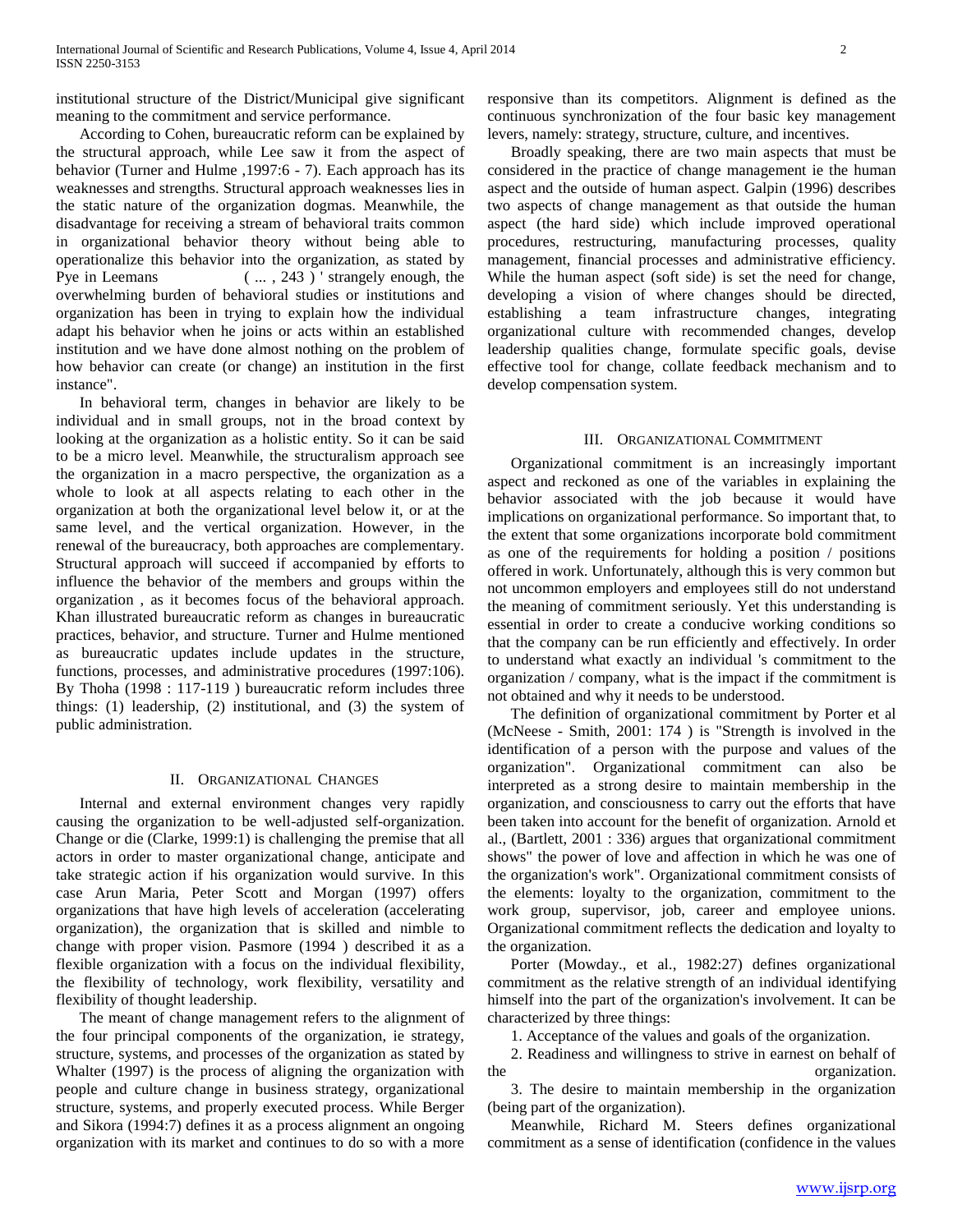institutional structure of the District/Municipal give significant meaning to the commitment and service performance.

 According to Cohen, bureaucratic reform can be explained by the structural approach, while Lee saw it from the aspect of behavior (Turner and Hulme ,1997:6 - 7). Each approach has its weaknesses and strengths. Structural approach weaknesses lies in the static nature of the organization dogmas. Meanwhile, the disadvantage for receiving a stream of behavioral traits common in organizational behavior theory without being able to operationalize this behavior into the organization, as stated by Pye in Leemans (..., 243) ' strangely enough, the overwhelming burden of behavioral studies or institutions and organization has been in trying to explain how the individual adapt his behavior when he joins or acts within an established institution and we have done almost nothing on the problem of how behavior can create (or change) an institution in the first instance".

 In behavioral term, changes in behavior are likely to be individual and in small groups, not in the broad context by looking at the organization as a holistic entity. So it can be said to be a micro level. Meanwhile, the structuralism approach see the organization in a macro perspective, the organization as a whole to look at all aspects relating to each other in the organization at both the organizational level below it, or at the same level, and the vertical organization. However, in the renewal of the bureaucracy, both approaches are complementary. Structural approach will succeed if accompanied by efforts to influence the behavior of the members and groups within the organization , as it becomes focus of the behavioral approach. Khan illustrated bureaucratic reform as changes in bureaucratic practices, behavior, and structure. Turner and Hulme mentioned as bureaucratic updates include updates in the structure, functions, processes, and administrative procedures (1997:106). By Thoha (1998 : 117-119 ) bureaucratic reform includes three things: (1) leadership, (2) institutional, and (3) the system of public administration.

#### II. ORGANIZATIONAL CHANGES

 Internal and external environment changes very rapidly causing the organization to be well-adjusted self-organization. Change or die (Clarke, 1999:1) is challenging the premise that all actors in order to master organizational change, anticipate and take strategic action if his organization would survive. In this case Arun Maria, Peter Scott and Morgan (1997) offers organizations that have high levels of acceleration (accelerating organization), the organization that is skilled and nimble to change with proper vision. Pasmore (1994 ) described it as a flexible organization with a focus on the individual flexibility, the flexibility of technology, work flexibility, versatility and flexibility of thought leadership.

 The meant of change management refers to the alignment of the four principal components of the organization, ie strategy, structure, systems, and processes of the organization as stated by Whalter (1997) is the process of aligning the organization with people and culture change in business strategy, organizational structure, systems, and properly executed process. While Berger and Sikora (1994:7) defines it as a process alignment an ongoing organization with its market and continues to do so with a more responsive than its competitors. Alignment is defined as the continuous synchronization of the four basic key management levers, namely: strategy, structure, culture, and incentives.

 Broadly speaking, there are two main aspects that must be considered in the practice of change management ie the human aspect and the outside of human aspect. Galpin (1996) describes two aspects of change management as that outside the human aspect (the hard side) which include improved operational procedures, restructuring, manufacturing processes, quality management, financial processes and administrative efficiency. While the human aspect (soft side) is set the need for change, developing a vision of where changes should be directed, establishing a team infrastructure changes, integrating organizational culture with recommended changes, develop leadership qualities change, formulate specific goals, devise effective tool for change, collate feedback mechanism and to develop compensation system.

#### III. ORGANIZATIONAL COMMITMENT

 Organizational commitment is an increasingly important aspect and reckoned as one of the variables in explaining the behavior associated with the job because it would have implications on organizational performance. So important that, to the extent that some organizations incorporate bold commitment as one of the requirements for holding a position / positions offered in work. Unfortunately, although this is very common but not uncommon employers and employees still do not understand the meaning of commitment seriously. Yet this understanding is essential in order to create a conducive working conditions so that the company can be run efficiently and effectively. In order to understand what exactly an individual 's commitment to the organization / company, what is the impact if the commitment is not obtained and why it needs to be understood.

 The definition of organizational commitment by Porter et al (McNeese - Smith, 2001: 174 ) is "Strength is involved in the identification of a person with the purpose and values of the organization". Organizational commitment can also be interpreted as a strong desire to maintain membership in the organization, and consciousness to carry out the efforts that have been taken into account for the benefit of organization. Arnold et al., (Bartlett, 2001 : 336) argues that organizational commitment shows" the power of love and affection in which he was one of the organization's work". Organizational commitment consists of the elements: loyalty to the organization, commitment to the work group, supervisor, job, career and employee unions. Organizational commitment reflects the dedication and loyalty to the organization.

 Porter (Mowday., et al., 1982:27) defines organizational commitment as the relative strength of an individual identifying himself into the part of the organization's involvement. It can be characterized by three things:

1. Acceptance of the values and goals of the organization.

 2. Readiness and willingness to strive in earnest on behalf of the organization.

 3. The desire to maintain membership in the organization (being part of the organization).

 Meanwhile, Richard M. Steers defines organizational commitment as a sense of identification (confidence in the values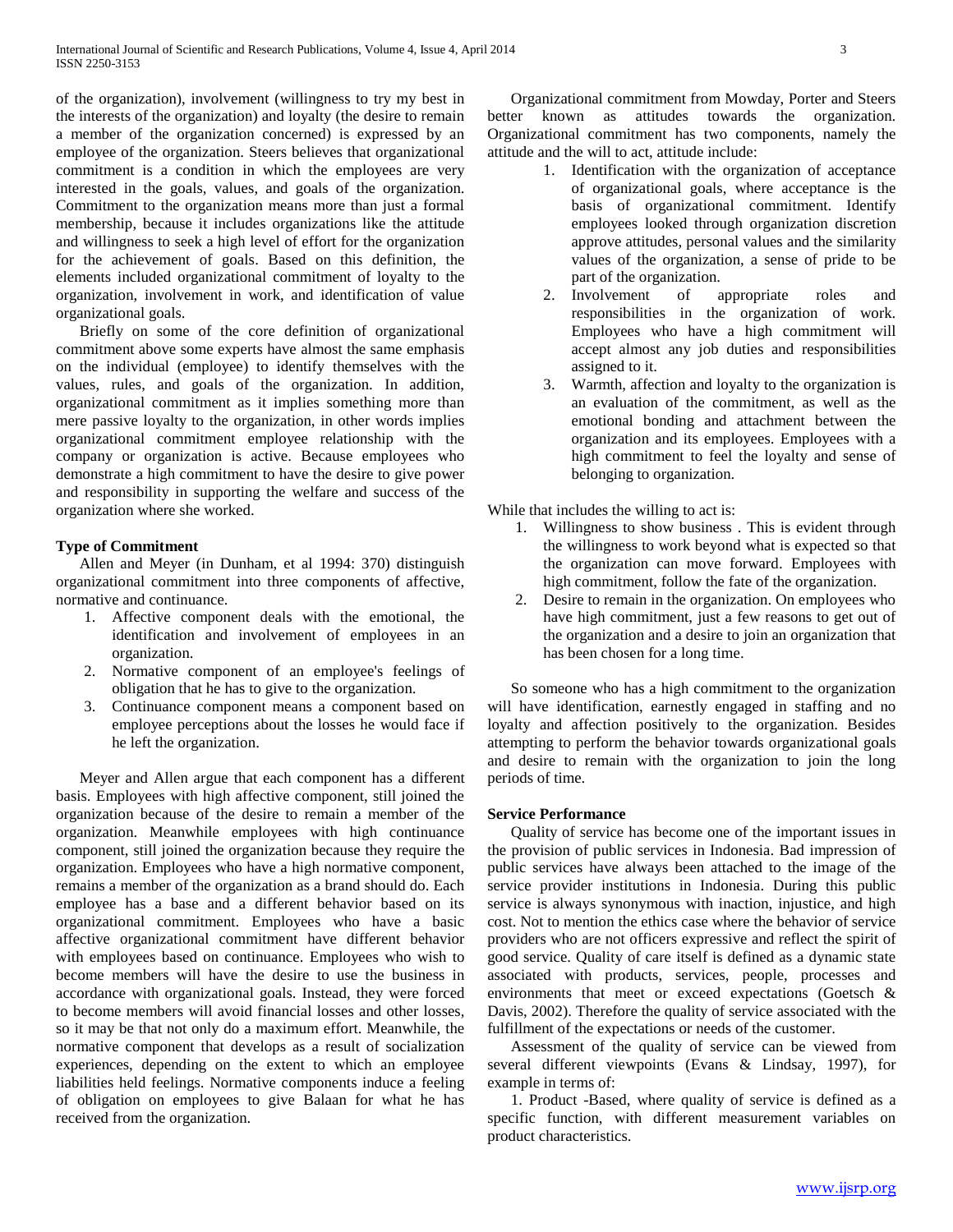of the organization), involvement (willingness to try my best in the interests of the organization) and loyalty (the desire to remain a member of the organization concerned) is expressed by an employee of the organization. Steers believes that organizational commitment is a condition in which the employees are very interested in the goals, values, and goals of the organization. Commitment to the organization means more than just a formal membership, because it includes organizations like the attitude and willingness to seek a high level of effort for the organization for the achievement of goals. Based on this definition, the elements included organizational commitment of loyalty to the organization, involvement in work, and identification of value organizational goals.

 Briefly on some of the core definition of organizational commitment above some experts have almost the same emphasis on the individual (employee) to identify themselves with the values, rules, and goals of the organization. In addition, organizational commitment as it implies something more than mere passive loyalty to the organization, in other words implies organizational commitment employee relationship with the company or organization is active. Because employees who demonstrate a high commitment to have the desire to give power and responsibility in supporting the welfare and success of the organization where she worked.

## **Type of Commitment**

 Allen and Meyer (in Dunham, et al 1994: 370) distinguish organizational commitment into three components of affective, normative and continuance.

- 1. Affective component deals with the emotional, the identification and involvement of employees in an organization.
- 2. Normative component of an employee's feelings of obligation that he has to give to the organization.
- 3. Continuance component means a component based on employee perceptions about the losses he would face if he left the organization.

 Meyer and Allen argue that each component has a different basis. Employees with high affective component, still joined the organization because of the desire to remain a member of the organization. Meanwhile employees with high continuance component, still joined the organization because they require the organization. Employees who have a high normative component, remains a member of the organization as a brand should do. Each employee has a base and a different behavior based on its organizational commitment. Employees who have a basic affective organizational commitment have different behavior with employees based on continuance. Employees who wish to become members will have the desire to use the business in accordance with organizational goals. Instead, they were forced to become members will avoid financial losses and other losses, so it may be that not only do a maximum effort. Meanwhile, the normative component that develops as a result of socialization experiences, depending on the extent to which an employee liabilities held feelings. Normative components induce a feeling of obligation on employees to give Balaan for what he has received from the organization.

 Organizational commitment from Mowday, Porter and Steers better known as attitudes towards the organization. Organizational commitment has two components, namely the attitude and the will to act, attitude include:

- 1. Identification with the organization of acceptance of organizational goals, where acceptance is the basis of organizational commitment. Identify employees looked through organization discretion approve attitudes, personal values and the similarity values of the organization, a sense of pride to be part of the organization.
- 2. Involvement of appropriate roles and responsibilities in the organization of work. Employees who have a high commitment will accept almost any job duties and responsibilities assigned to it.
- 3. Warmth, affection and loyalty to the organization is an evaluation of the commitment, as well as the emotional bonding and attachment between the organization and its employees. Employees with a high commitment to feel the loyalty and sense of belonging to organization.

While that includes the willing to act is:

- 1. Willingness to show business . This is evident through the willingness to work beyond what is expected so that the organization can move forward. Employees with high commitment, follow the fate of the organization.
- 2. Desire to remain in the organization. On employees who have high commitment, just a few reasons to get out of the organization and a desire to join an organization that has been chosen for a long time.

 So someone who has a high commitment to the organization will have identification, earnestly engaged in staffing and no loyalty and affection positively to the organization. Besides attempting to perform the behavior towards organizational goals and desire to remain with the organization to join the long periods of time.

## **Service Performance**

 Quality of service has become one of the important issues in the provision of public services in Indonesia. Bad impression of public services have always been attached to the image of the service provider institutions in Indonesia. During this public service is always synonymous with inaction, injustice, and high cost. Not to mention the ethics case where the behavior of service providers who are not officers expressive and reflect the spirit of good service. Quality of care itself is defined as a dynamic state associated with products, services, people, processes and environments that meet or exceed expectations (Goetsch & Davis, 2002). Therefore the quality of service associated with the fulfillment of the expectations or needs of the customer.

 Assessment of the quality of service can be viewed from several different viewpoints (Evans & Lindsay, 1997), for example in terms of:

 1. Product -Based, where quality of service is defined as a specific function, with different measurement variables on product characteristics.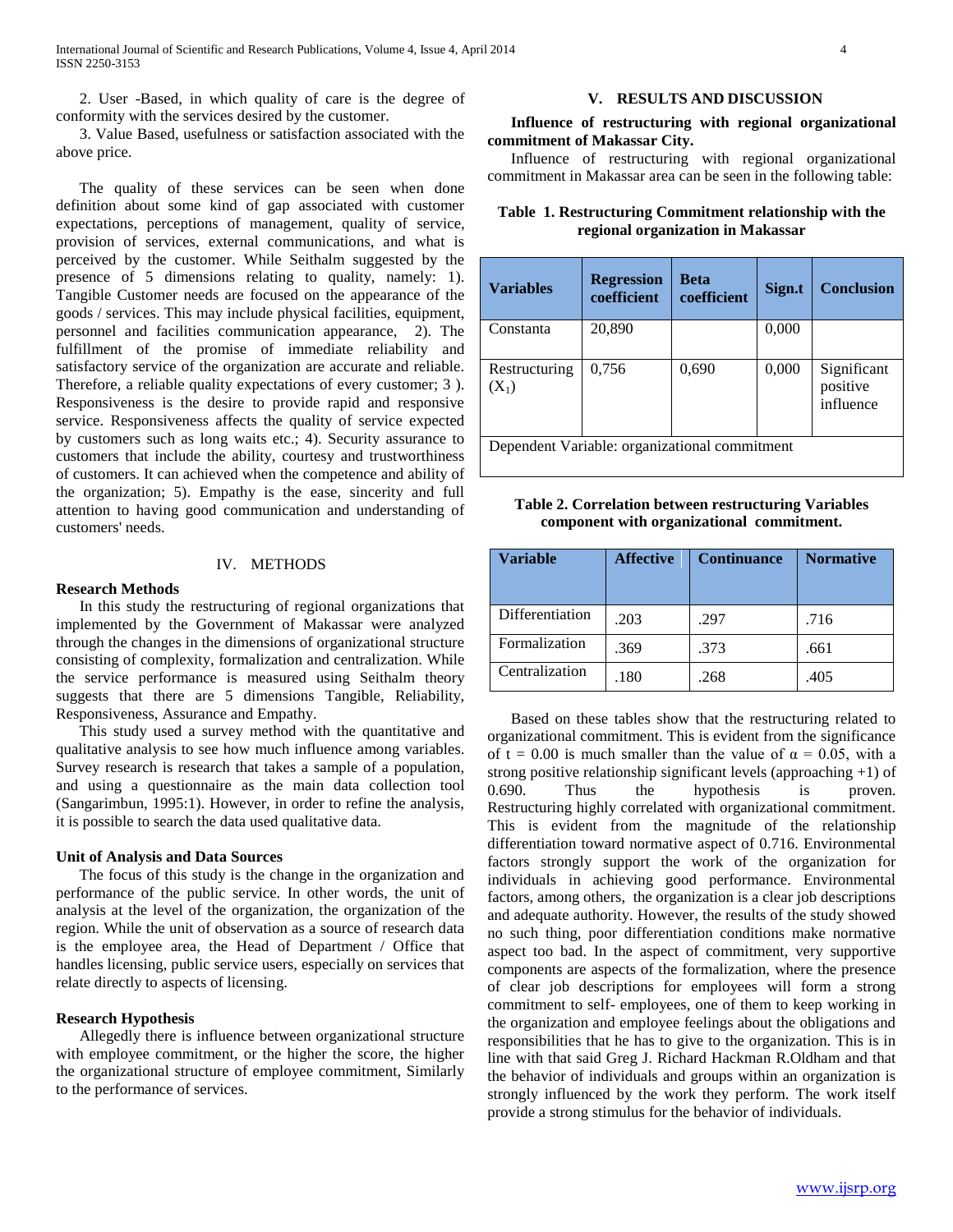2. User -Based, in which quality of care is the degree of conformity with the services desired by the customer.

 3. Value Based, usefulness or satisfaction associated with the above price.

 The quality of these services can be seen when done definition about some kind of gap associated with customer expectations, perceptions of management, quality of service, provision of services, external communications, and what is perceived by the customer. While Seithalm suggested by the presence of 5 dimensions relating to quality, namely: 1). Tangible Customer needs are focused on the appearance of the goods / services. This may include physical facilities, equipment, personnel and facilities communication appearance, 2). The fulfillment of the promise of immediate reliability and satisfactory service of the organization are accurate and reliable. Therefore, a reliable quality expectations of every customer; 3 ). Responsiveness is the desire to provide rapid and responsive service. Responsiveness affects the quality of service expected by customers such as long waits etc.; 4). Security assurance to customers that include the ability, courtesy and trustworthiness of customers. It can achieved when the competence and ability of the organization; 5). Empathy is the ease, sincerity and full attention to having good communication and understanding of customers' needs.

# IV. METHODS

#### **Research Methods**

 In this study the restructuring of regional organizations that implemented by the Government of Makassar were analyzed through the changes in the dimensions of organizational structure consisting of complexity, formalization and centralization. While the service performance is measured using Seithalm theory suggests that there are 5 dimensions Tangible, Reliability, Responsiveness, Assurance and Empathy.

 This study used a survey method with the quantitative and qualitative analysis to see how much influence among variables. Survey research is research that takes a sample of a population, and using a questionnaire as the main data collection tool (Sangarimbun, 1995:1). However, in order to refine the analysis, it is possible to search the data used qualitative data.

#### **Unit of Analysis and Data Sources**

 The focus of this study is the change in the organization and performance of the public service. In other words, the unit of analysis at the level of the organization, the organization of the region. While the unit of observation as a source of research data is the employee area, the Head of Department / Office that handles licensing, public service users, especially on services that relate directly to aspects of licensing.

#### **Research Hypothesis**

 Allegedly there is influence between organizational structure with employee commitment, or the higher the score, the higher the organizational structure of employee commitment, Similarly to the performance of services.

#### **V. RESULTS AND DISCUSSION**

#### **Influence of restructuring with regional organizational commitment of Makassar City.**

 Influence of restructuring with regional organizational commitment in Makassar area can be seen in the following table:

| Table 1. Restructuring Commitment relationship with the |  |
|---------------------------------------------------------|--|
| regional organization in Makassar                       |  |

| <b>Variables</b>                              | <b>Regression</b><br>coefficient | <b>Beta</b><br>coefficient | Sign.t | <b>Conclusion</b>                    |  |  |
|-----------------------------------------------|----------------------------------|----------------------------|--------|--------------------------------------|--|--|
| Constanta                                     | 20,890                           |                            | 0,000  |                                      |  |  |
| Restructuring<br>$(X_1)$                      | 0,756                            | 0,690                      | 0,000  | Significant<br>positive<br>influence |  |  |
| Dependent Variable: organizational commitment |                                  |                            |        |                                      |  |  |

|  |                                           | Table 2. Correlation between restructuring Variables |
|--|-------------------------------------------|------------------------------------------------------|
|  | component with organizational commitment. |                                                      |

| <b>Variable</b> | <b>Affective</b> | <b>Continuance</b> | <b>Normative</b> |
|-----------------|------------------|--------------------|------------------|
| Differentiation | .203             | .297               | .716             |
| Formalization   | .369             | .373               | .661             |
| Centralization  | .180             | .268               | .405             |

 Based on these tables show that the restructuring related to organizational commitment. This is evident from the significance of t = 0.00 is much smaller than the value of  $\alpha$  = 0.05, with a strong positive relationship significant levels (approaching  $+1$ ) of 0.690. Thus the hypothesis is proven. Restructuring highly correlated with organizational commitment. This is evident from the magnitude of the relationship differentiation toward normative aspect of 0.716. Environmental factors strongly support the work of the organization for individuals in achieving good performance. Environmental factors, among others, the organization is a clear job descriptions and adequate authority. However, the results of the study showed no such thing, poor differentiation conditions make normative aspect too bad. In the aspect of commitment, very supportive components are aspects of the formalization, where the presence of clear job descriptions for employees will form a strong commitment to self- employees, one of them to keep working in the organization and employee feelings about the obligations and responsibilities that he has to give to the organization. This is in line with that said Greg J. Richard Hackman R.Oldham and that the behavior of individuals and groups within an organization is strongly influenced by the work they perform. The work itself provide a strong stimulus for the behavior of individuals.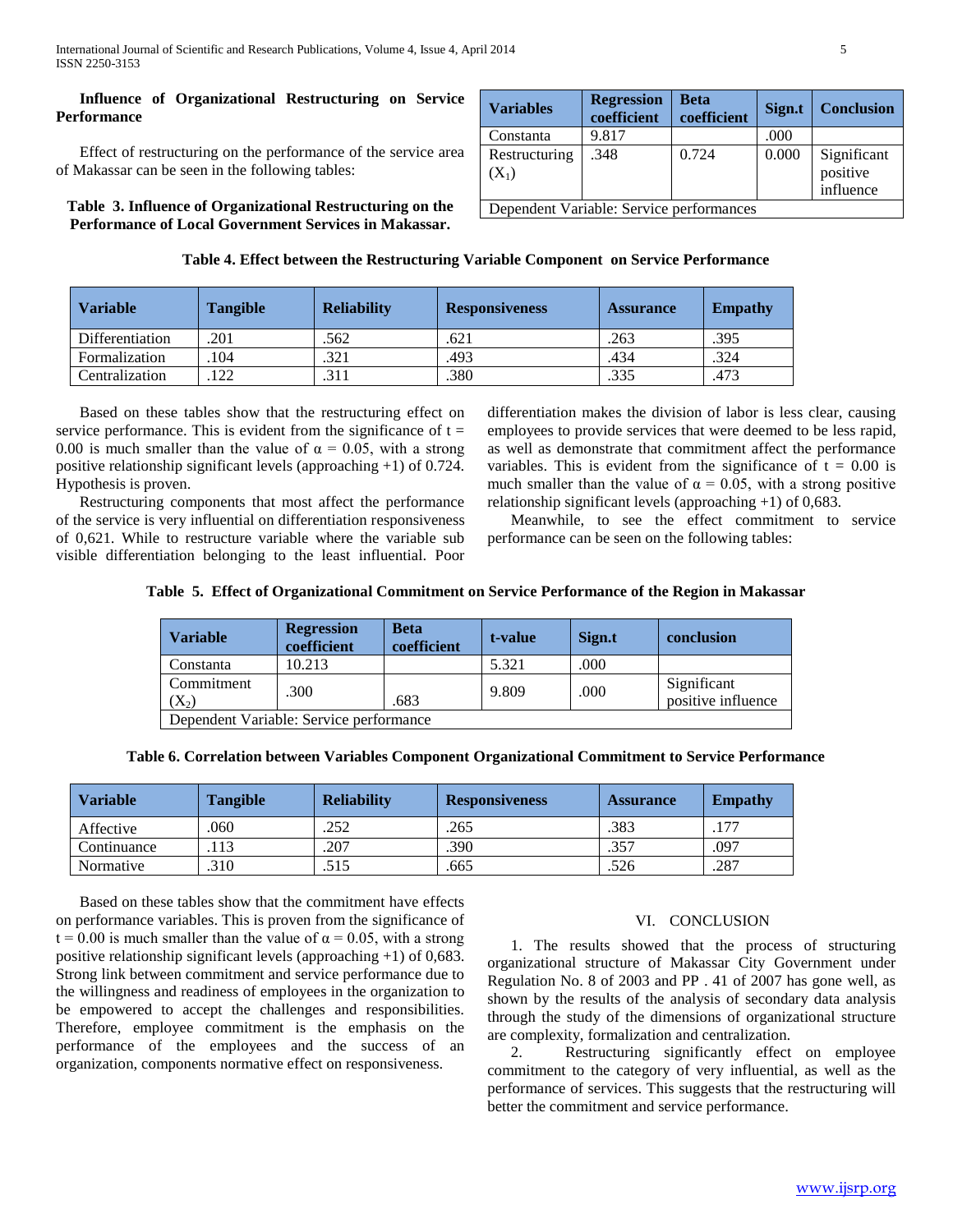## **Influence of Organizational Restructuring on Service Performance**

 Effect of restructuring on the performance of the service area of Makassar can be seen in the following tables:

**Table 3. Influence of Organizational Restructuring on the Performance of Local Government Services in Makassar.**

| <b>Variables</b>                         | <b>Regression</b><br>coefficient | <b>Beta</b><br>coefficient | Sign.t | <b>Conclusion</b>                    |  |  |
|------------------------------------------|----------------------------------|----------------------------|--------|--------------------------------------|--|--|
| Constanta                                | 9.817                            |                            | .000   |                                      |  |  |
| Restructuring<br>$(X_1)$                 | .348                             | 0.724                      | 0.000  | Significant<br>positive<br>influence |  |  |
| Dependent Variable: Service performances |                                  |                            |        |                                      |  |  |

| Table 4. Effect between the Restructuring Variable Component on Service Performance |  |  |
|-------------------------------------------------------------------------------------|--|--|

| <b>Variable</b>        | <b>Tangible</b> | <b>Reliability</b> | <b>Responsiveness</b> | <b>Assurance</b> | <b>Empathy</b> |
|------------------------|-----------------|--------------------|-----------------------|------------------|----------------|
| <b>Differentiation</b> | .201            | .562               | .621                  | .263             | .395           |
| Formalization          | 104             | .321               | .493                  | .434             | .324           |
| Centralization         | 122             | .311               | .380                  | .335             | .473           |

 Based on these tables show that the restructuring effect on service performance. This is evident from the significance of  $t =$ 0.00 is much smaller than the value of  $\alpha = 0.05$ , with a strong positive relationship significant levels (approaching +1) of 0.724. Hypothesis is proven.

 Restructuring components that most affect the performance of the service is very influential on differentiation responsiveness of 0,621. While to restructure variable where the variable sub visible differentiation belonging to the least influential. Poor differentiation makes the division of labor is less clear, causing employees to provide services that were deemed to be less rapid, as well as demonstrate that commitment affect the performance variables. This is evident from the significance of  $t = 0.00$  is much smaller than the value of  $\alpha = 0.05$ , with a strong positive relationship significant levels (approaching +1) of 0,683.

 Meanwhile, to see the effect commitment to service performance can be seen on the following tables:

|  |  |  | Table 5. Effect of Organizational Commitment on Service Performance of the Region in Makassar |
|--|--|--|-----------------------------------------------------------------------------------------------|
|--|--|--|-----------------------------------------------------------------------------------------------|

| <b>Variable</b>       | <b>Regression</b><br>coefficient        | <b>Beta</b><br>coefficient | t-value | Sign.t | conclusion                        |  |  |
|-----------------------|-----------------------------------------|----------------------------|---------|--------|-----------------------------------|--|--|
| Constanta             | 10.213                                  |                            | 5.321   | .000   |                                   |  |  |
| Commitment<br>$(X_2)$ | .300                                    | .683                       | 9.809   | .000   | Significant<br>positive influence |  |  |
|                       | Dependent Variable: Service performance |                            |         |        |                                   |  |  |

|  |  |  |  |  |  |  | Table 6. Correlation between Variables Component Organizational Commitment to Service Performance |
|--|--|--|--|--|--|--|---------------------------------------------------------------------------------------------------|
|--|--|--|--|--|--|--|---------------------------------------------------------------------------------------------------|

| <b>Variable</b> | <b>Tangible</b> | <b>Reliability</b> | <b>Responsiveness</b> | <b>Assurance</b> | <b>Empathy</b> |
|-----------------|-----------------|--------------------|-----------------------|------------------|----------------|
| Affective       | 060             | .252               | .265                  | .383             | ר ו            |
| Continuance     | .13             | .207               | .390                  | .357             | .097           |
| Normative       | .310            | .515               | .665                  | .526             | .287           |

 Based on these tables show that the commitment have effects on performance variables. This is proven from the significance of t = 0.00 is much smaller than the value of  $\alpha$  = 0.05, with a strong positive relationship significant levels (approaching +1) of 0,683. Strong link between commitment and service performance due to the willingness and readiness of employees in the organization to be empowered to accept the challenges and responsibilities. Therefore, employee commitment is the emphasis on the performance of the employees and the success of an organization, components normative effect on responsiveness.

## VI. CONCLUSION

 1. The results showed that the process of structuring organizational structure of Makassar City Government under Regulation No. 8 of 2003 and PP . 41 of 2007 has gone well, as shown by the results of the analysis of secondary data analysis through the study of the dimensions of organizational structure are complexity, formalization and centralization.

 2. Restructuring significantly effect on employee commitment to the category of very influential, as well as the performance of services. This suggests that the restructuring will better the commitment and service performance.